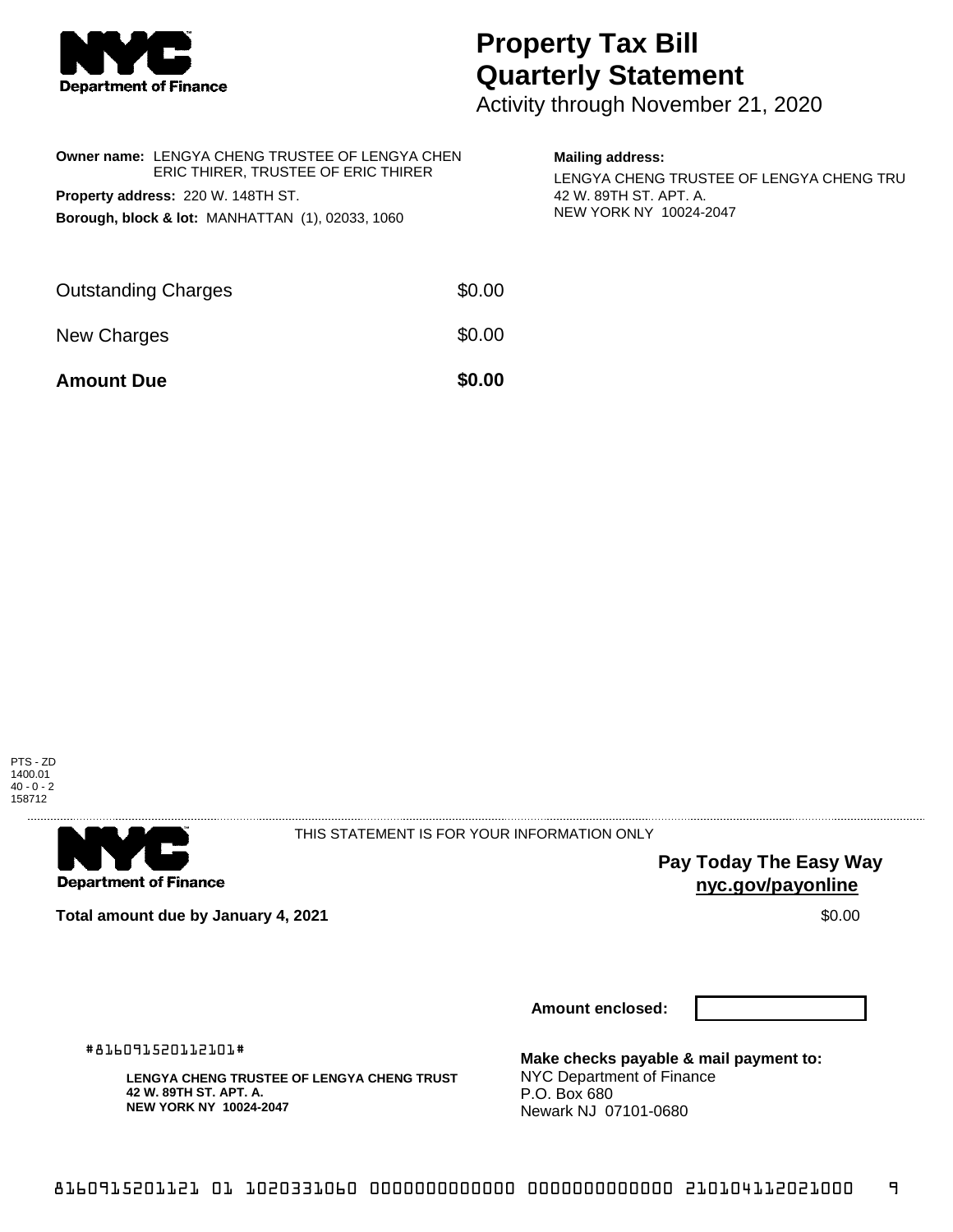

## **Property Tax Bill Quarterly Statement**

Activity through November 21, 2020

| <b>Owner name: LENGYA CHENG TRUSTEE OF LENGYA CHEN</b><br>ERIC THIRER, TRUSTEE OF ERIC THIRER<br>Property address: 220 W. 148TH ST.<br>Borough, block & lot: MANHATTAN (1), 02033, 1060 |        | <b>Mailing address:</b><br>LENGYA CHENG TRUSTEE OF LENGYA CHENG TRU<br>42 W. 89TH ST. APT. A.<br>NEW YORK NY 10024-2047 |
|-----------------------------------------------------------------------------------------------------------------------------------------------------------------------------------------|--------|-------------------------------------------------------------------------------------------------------------------------|
| <b>Outstanding Charges</b>                                                                                                                                                              | \$0.00 |                                                                                                                         |
| New Charges                                                                                                                                                                             | \$0.00 |                                                                                                                         |
| <b>Amount Due</b>                                                                                                                                                                       | \$0.00 |                                                                                                                         |





THIS STATEMENT IS FOR YOUR INFORMATION ONLY

**Pay Today The Easy Way nyc.gov/payonline**

**Total amount due by January 4, 2021 \$0.00** \$0.00

**Amount enclosed:**

#816091520112101#

**LENGYA CHENG TRUSTEE OF LENGYA CHENG TRUST 42 W. 89TH ST. APT. A. NEW YORK NY 10024-2047**

**Make checks payable & mail payment to:** NYC Department of Finance P.O. Box 680 Newark NJ 07101-0680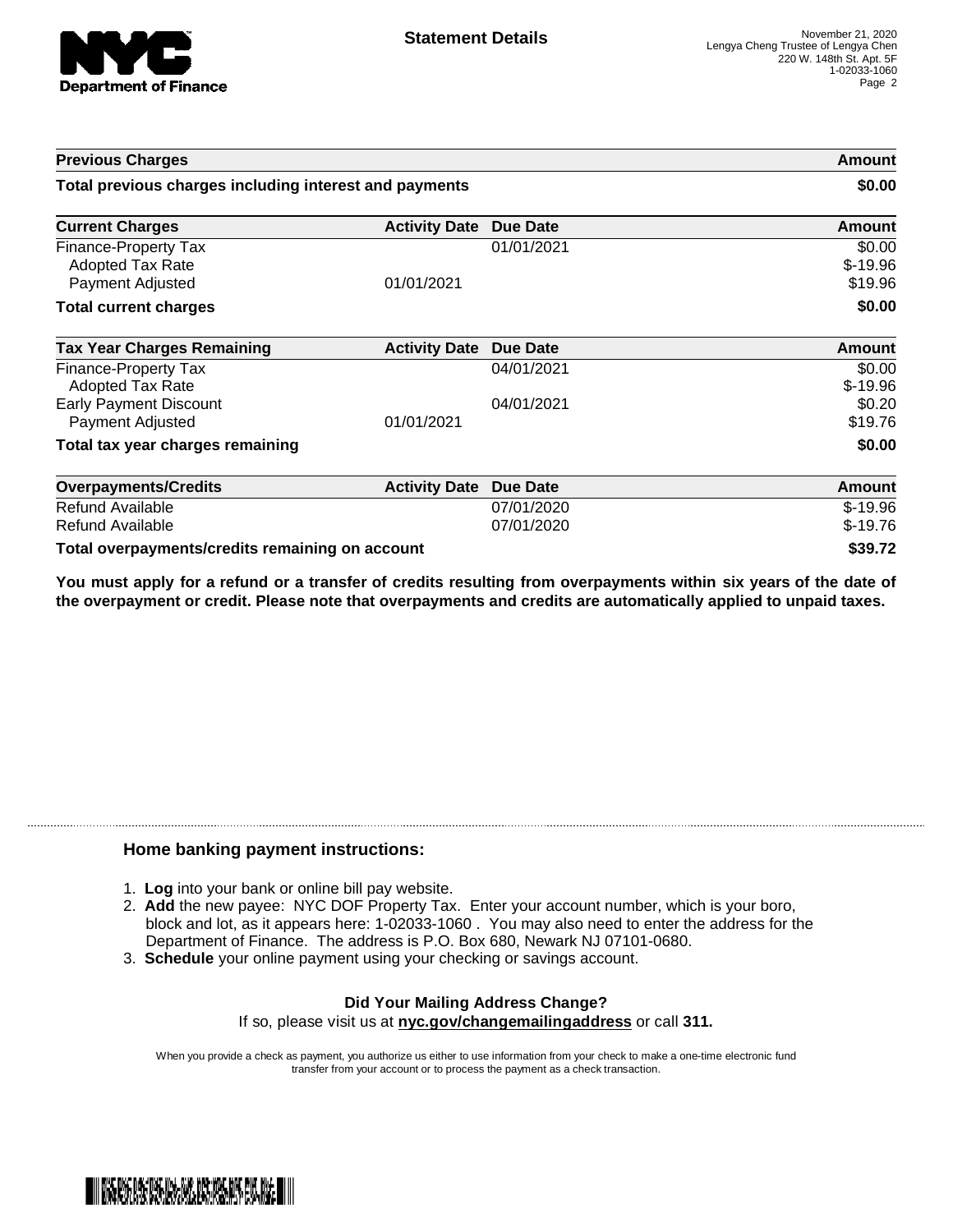

| <b>Previous Charges</b>                                             |                      | Amount<br>\$0.00         |                                |
|---------------------------------------------------------------------|----------------------|--------------------------|--------------------------------|
| Total previous charges including interest and payments              |                      |                          |                                |
| <b>Current Charges</b>                                              | <b>Activity Date</b> | Due Date                 | <b>Amount</b>                  |
| Finance-Property Tax<br><b>Adopted Tax Rate</b><br>Payment Adjusted | 01/01/2021           | 01/01/2021               | \$0.00<br>$$-19.96$<br>\$19.96 |
| <b>Total current charges</b>                                        |                      |                          | \$0.00                         |
| <b>Tax Year Charges Remaining</b>                                   | <b>Activity Date</b> | <b>Due Date</b>          | Amount                         |
| Finance-Property Tax<br><b>Adopted Tax Rate</b>                     |                      | 04/01/2021               | \$0.00<br>$$-19.96$            |
| <b>Early Payment Discount</b><br>Payment Adjusted                   | 01/01/2021           | 04/01/2021               | \$0.20<br>\$19.76              |
| Total tax year charges remaining                                    |                      |                          | \$0.00                         |
| <b>Overpayments/Credits</b>                                         | <b>Activity Date</b> | <b>Due Date</b>          | Amount                         |
| Refund Available<br>Refund Available                                |                      | 07/01/2020<br>07/01/2020 | $$-19.96$<br>$$-19.76$         |
| Total overpayments/credits remaining on account                     |                      |                          | \$39.72                        |

You must apply for a refund or a transfer of credits resulting from overpayments within six years of the date of **the overpayment or credit. Please note that overpayments and credits are automatically applied to unpaid taxes.**

## **Home banking payment instructions:**

- 1. **Log** into your bank or online bill pay website.
- 2. **Add** the new payee: NYC DOF Property Tax. Enter your account number, which is your boro, block and lot, as it appears here: 1-02033-1060 . You may also need to enter the address for the Department of Finance. The address is P.O. Box 680, Newark NJ 07101-0680.
- 3. **Schedule** your online payment using your checking or savings account.

## **Did Your Mailing Address Change?** If so, please visit us at **nyc.gov/changemailingaddress** or call **311.**

When you provide a check as payment, you authorize us either to use information from your check to make a one-time electronic fund transfer from your account or to process the payment as a check transaction.